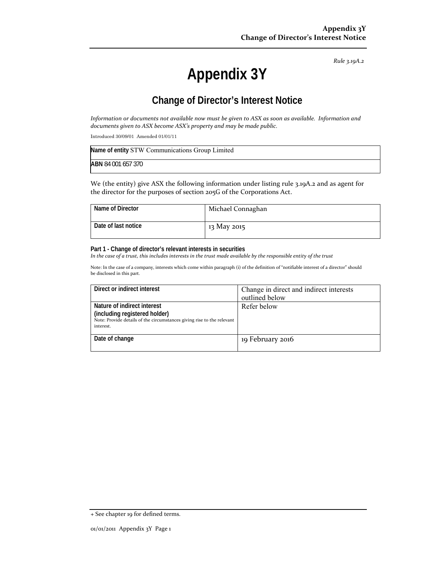*Rule 3.19A.2*

# **Appendix 3Y**

# **Change of Director's Interest Notice**

Information or documents not available now must be given to ASX as soon as available. Information and *documents given to ASX become ASX's property and may be made public.*

Introduced 30/09/01 Amended 01/01/11

| Name of entity STW Communications Group Limited |
|-------------------------------------------------|
| <b>ABN 84 001 657 370</b>                       |

We (the entity) give ASX the following information under listing rule 3.19A.2 and as agent for the director for the purposes of section 205G of the Corporations Act.

| Name of Director    | Michael Connaghan |
|---------------------|-------------------|
| Date of last notice | 13 May 2015       |

#### **Part 1 - Change of director's relevant interests in securities**

In the case of a trust, this includes interests in the trust made available by the responsible entity of the trust

Note: In the case of a company, interests which come within paragraph (i) of the definition of "notifiable interest of a director" should be disclosed in this part.

| Direct or indirect interest                                                         | Change in direct and indirect interests |
|-------------------------------------------------------------------------------------|-----------------------------------------|
|                                                                                     | outlined below                          |
| Nature of indirect interest                                                         | Refer below                             |
| (including registered holder)                                                       |                                         |
| Note: Provide details of the circumstances giving rise to the relevant<br>interest. |                                         |
|                                                                                     |                                         |
| Date of change                                                                      | 19 February 2016                        |
|                                                                                     |                                         |

<sup>+</sup> See chapter 19 for defined terms.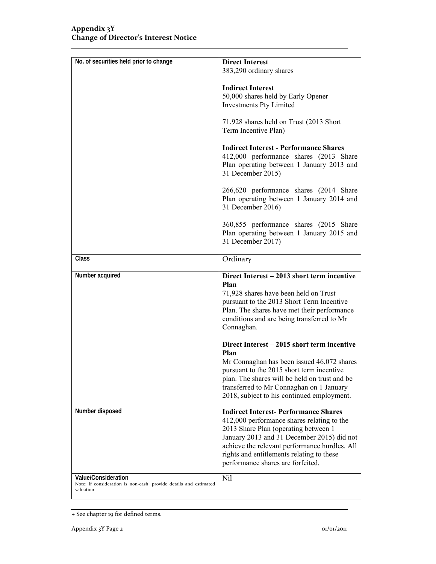| 383,290 ordinary shares<br><b>Indirect Interest</b><br>50,000 shares held by Early Opener<br><b>Investments Pty Limited</b><br>71,928 shares held on Trust (2013 Short<br>Term Incentive Plan)<br><b>Indirect Interest - Performance Shares</b><br>412,000 performance shares (2013 Share<br>Plan operating between 1 January 2013 and<br>31 December 2015)<br>266,620 performance shares (2014 Share<br>Plan operating between 1 January 2014 and<br>31 December 2016)<br>360,855 performance shares (2015 Share<br>Plan operating between 1 January 2015 and<br>31 December 2017)<br><b>Class</b><br>Ordinary<br>Number acquired<br>Direct Interest – 2013 short term incentive<br>Plan<br>71,928 shares have been held on Trust<br>pursuant to the 2013 Short Term Incentive<br>Plan. The shares have met their performance<br>conditions and are being transferred to Mr<br>Connaghan.<br>Direct Interest – 2015 short term incentive<br>Plan<br>Mr Connaghan has been issued 46,072 shares<br>pursuant to the 2015 short term incentive<br>plan. The shares will be held on trust and be<br>transferred to Mr Connaghan on 1 January<br>2018, subject to his continued employment.<br>Number disposed<br><b>Indirect Interest-Performance Shares</b><br>412,000 performance shares relating to the<br>2013 Share Plan (operating between 1<br>January 2013 and 31 December 2015) did not<br>achieve the relevant performance hurdles. All<br>rights and entitlements relating to these<br>performance shares are forfeited.<br>Value/Consideration<br>Nil<br>Note: If consideration is non-cash, provide details and estimated<br>valuation | No. of securities held prior to change | <b>Direct Interest</b> |
|--------------------------------------------------------------------------------------------------------------------------------------------------------------------------------------------------------------------------------------------------------------------------------------------------------------------------------------------------------------------------------------------------------------------------------------------------------------------------------------------------------------------------------------------------------------------------------------------------------------------------------------------------------------------------------------------------------------------------------------------------------------------------------------------------------------------------------------------------------------------------------------------------------------------------------------------------------------------------------------------------------------------------------------------------------------------------------------------------------------------------------------------------------------------------------------------------------------------------------------------------------------------------------------------------------------------------------------------------------------------------------------------------------------------------------------------------------------------------------------------------------------------------------------------------------------------------------------------------------------------------------------------------|----------------------------------------|------------------------|
|                                                                                                                                                                                                                                                                                                                                                                                                                                                                                                                                                                                                                                                                                                                                                                                                                                                                                                                                                                                                                                                                                                                                                                                                                                                                                                                                                                                                                                                                                                                                                                                                                                                  |                                        |                        |
|                                                                                                                                                                                                                                                                                                                                                                                                                                                                                                                                                                                                                                                                                                                                                                                                                                                                                                                                                                                                                                                                                                                                                                                                                                                                                                                                                                                                                                                                                                                                                                                                                                                  |                                        |                        |
|                                                                                                                                                                                                                                                                                                                                                                                                                                                                                                                                                                                                                                                                                                                                                                                                                                                                                                                                                                                                                                                                                                                                                                                                                                                                                                                                                                                                                                                                                                                                                                                                                                                  |                                        |                        |
|                                                                                                                                                                                                                                                                                                                                                                                                                                                                                                                                                                                                                                                                                                                                                                                                                                                                                                                                                                                                                                                                                                                                                                                                                                                                                                                                                                                                                                                                                                                                                                                                                                                  |                                        |                        |
|                                                                                                                                                                                                                                                                                                                                                                                                                                                                                                                                                                                                                                                                                                                                                                                                                                                                                                                                                                                                                                                                                                                                                                                                                                                                                                                                                                                                                                                                                                                                                                                                                                                  |                                        |                        |
|                                                                                                                                                                                                                                                                                                                                                                                                                                                                                                                                                                                                                                                                                                                                                                                                                                                                                                                                                                                                                                                                                                                                                                                                                                                                                                                                                                                                                                                                                                                                                                                                                                                  |                                        |                        |
|                                                                                                                                                                                                                                                                                                                                                                                                                                                                                                                                                                                                                                                                                                                                                                                                                                                                                                                                                                                                                                                                                                                                                                                                                                                                                                                                                                                                                                                                                                                                                                                                                                                  |                                        |                        |
|                                                                                                                                                                                                                                                                                                                                                                                                                                                                                                                                                                                                                                                                                                                                                                                                                                                                                                                                                                                                                                                                                                                                                                                                                                                                                                                                                                                                                                                                                                                                                                                                                                                  |                                        |                        |
|                                                                                                                                                                                                                                                                                                                                                                                                                                                                                                                                                                                                                                                                                                                                                                                                                                                                                                                                                                                                                                                                                                                                                                                                                                                                                                                                                                                                                                                                                                                                                                                                                                                  |                                        |                        |
|                                                                                                                                                                                                                                                                                                                                                                                                                                                                                                                                                                                                                                                                                                                                                                                                                                                                                                                                                                                                                                                                                                                                                                                                                                                                                                                                                                                                                                                                                                                                                                                                                                                  |                                        |                        |
|                                                                                                                                                                                                                                                                                                                                                                                                                                                                                                                                                                                                                                                                                                                                                                                                                                                                                                                                                                                                                                                                                                                                                                                                                                                                                                                                                                                                                                                                                                                                                                                                                                                  |                                        |                        |
|                                                                                                                                                                                                                                                                                                                                                                                                                                                                                                                                                                                                                                                                                                                                                                                                                                                                                                                                                                                                                                                                                                                                                                                                                                                                                                                                                                                                                                                                                                                                                                                                                                                  |                                        |                        |
|                                                                                                                                                                                                                                                                                                                                                                                                                                                                                                                                                                                                                                                                                                                                                                                                                                                                                                                                                                                                                                                                                                                                                                                                                                                                                                                                                                                                                                                                                                                                                                                                                                                  |                                        |                        |
|                                                                                                                                                                                                                                                                                                                                                                                                                                                                                                                                                                                                                                                                                                                                                                                                                                                                                                                                                                                                                                                                                                                                                                                                                                                                                                                                                                                                                                                                                                                                                                                                                                                  |                                        |                        |
|                                                                                                                                                                                                                                                                                                                                                                                                                                                                                                                                                                                                                                                                                                                                                                                                                                                                                                                                                                                                                                                                                                                                                                                                                                                                                                                                                                                                                                                                                                                                                                                                                                                  |                                        |                        |
|                                                                                                                                                                                                                                                                                                                                                                                                                                                                                                                                                                                                                                                                                                                                                                                                                                                                                                                                                                                                                                                                                                                                                                                                                                                                                                                                                                                                                                                                                                                                                                                                                                                  |                                        |                        |
|                                                                                                                                                                                                                                                                                                                                                                                                                                                                                                                                                                                                                                                                                                                                                                                                                                                                                                                                                                                                                                                                                                                                                                                                                                                                                                                                                                                                                                                                                                                                                                                                                                                  |                                        |                        |
|                                                                                                                                                                                                                                                                                                                                                                                                                                                                                                                                                                                                                                                                                                                                                                                                                                                                                                                                                                                                                                                                                                                                                                                                                                                                                                                                                                                                                                                                                                                                                                                                                                                  |                                        |                        |
|                                                                                                                                                                                                                                                                                                                                                                                                                                                                                                                                                                                                                                                                                                                                                                                                                                                                                                                                                                                                                                                                                                                                                                                                                                                                                                                                                                                                                                                                                                                                                                                                                                                  |                                        |                        |
|                                                                                                                                                                                                                                                                                                                                                                                                                                                                                                                                                                                                                                                                                                                                                                                                                                                                                                                                                                                                                                                                                                                                                                                                                                                                                                                                                                                                                                                                                                                                                                                                                                                  |                                        |                        |
|                                                                                                                                                                                                                                                                                                                                                                                                                                                                                                                                                                                                                                                                                                                                                                                                                                                                                                                                                                                                                                                                                                                                                                                                                                                                                                                                                                                                                                                                                                                                                                                                                                                  |                                        |                        |
|                                                                                                                                                                                                                                                                                                                                                                                                                                                                                                                                                                                                                                                                                                                                                                                                                                                                                                                                                                                                                                                                                                                                                                                                                                                                                                                                                                                                                                                                                                                                                                                                                                                  |                                        |                        |
|                                                                                                                                                                                                                                                                                                                                                                                                                                                                                                                                                                                                                                                                                                                                                                                                                                                                                                                                                                                                                                                                                                                                                                                                                                                                                                                                                                                                                                                                                                                                                                                                                                                  |                                        |                        |
|                                                                                                                                                                                                                                                                                                                                                                                                                                                                                                                                                                                                                                                                                                                                                                                                                                                                                                                                                                                                                                                                                                                                                                                                                                                                                                                                                                                                                                                                                                                                                                                                                                                  |                                        |                        |
|                                                                                                                                                                                                                                                                                                                                                                                                                                                                                                                                                                                                                                                                                                                                                                                                                                                                                                                                                                                                                                                                                                                                                                                                                                                                                                                                                                                                                                                                                                                                                                                                                                                  |                                        |                        |
|                                                                                                                                                                                                                                                                                                                                                                                                                                                                                                                                                                                                                                                                                                                                                                                                                                                                                                                                                                                                                                                                                                                                                                                                                                                                                                                                                                                                                                                                                                                                                                                                                                                  |                                        |                        |
|                                                                                                                                                                                                                                                                                                                                                                                                                                                                                                                                                                                                                                                                                                                                                                                                                                                                                                                                                                                                                                                                                                                                                                                                                                                                                                                                                                                                                                                                                                                                                                                                                                                  |                                        |                        |
|                                                                                                                                                                                                                                                                                                                                                                                                                                                                                                                                                                                                                                                                                                                                                                                                                                                                                                                                                                                                                                                                                                                                                                                                                                                                                                                                                                                                                                                                                                                                                                                                                                                  |                                        |                        |
|                                                                                                                                                                                                                                                                                                                                                                                                                                                                                                                                                                                                                                                                                                                                                                                                                                                                                                                                                                                                                                                                                                                                                                                                                                                                                                                                                                                                                                                                                                                                                                                                                                                  |                                        |                        |
|                                                                                                                                                                                                                                                                                                                                                                                                                                                                                                                                                                                                                                                                                                                                                                                                                                                                                                                                                                                                                                                                                                                                                                                                                                                                                                                                                                                                                                                                                                                                                                                                                                                  |                                        |                        |
|                                                                                                                                                                                                                                                                                                                                                                                                                                                                                                                                                                                                                                                                                                                                                                                                                                                                                                                                                                                                                                                                                                                                                                                                                                                                                                                                                                                                                                                                                                                                                                                                                                                  |                                        |                        |

<sup>+</sup> See chapter 19 for defined terms.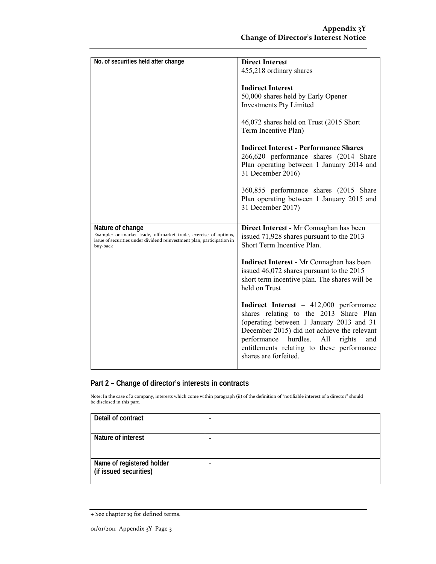| No. of securities held after change                                                                                                                                        | <b>Direct Interest</b>                                                                                                                                                                                                                                                                                 |
|----------------------------------------------------------------------------------------------------------------------------------------------------------------------------|--------------------------------------------------------------------------------------------------------------------------------------------------------------------------------------------------------------------------------------------------------------------------------------------------------|
|                                                                                                                                                                            | 455,218 ordinary shares                                                                                                                                                                                                                                                                                |
|                                                                                                                                                                            | <b>Indirect Interest</b><br>50,000 shares held by Early Opener<br><b>Investments Pty Limited</b>                                                                                                                                                                                                       |
|                                                                                                                                                                            | 46,072 shares held on Trust (2015 Short<br>Term Incentive Plan)                                                                                                                                                                                                                                        |
|                                                                                                                                                                            | <b>Indirect Interest - Performance Shares</b><br>266,620 performance shares (2014 Share<br>Plan operating between 1 January 2014 and<br>31 December 2016)                                                                                                                                              |
|                                                                                                                                                                            | 360,855 performance shares (2015 Share<br>Plan operating between 1 January 2015 and<br>31 December 2017)                                                                                                                                                                                               |
| Nature of change<br>Example: on-market trade, off-market trade, exercise of options,<br>issue of securities under dividend reinvestment plan, participation in<br>buy-back | Direct Interest - Mr Connaghan has been<br>issued 71,928 shares pursuant to the 2013<br>Short Term Incentive Plan.                                                                                                                                                                                     |
|                                                                                                                                                                            | <b>Indirect Interest - Mr Connaghan has been</b><br>issued 46,072 shares pursuant to the 2015<br>short term incentive plan. The shares will be<br>held on Trust                                                                                                                                        |
|                                                                                                                                                                            | Indirect Interest - 412,000 performance<br>shares relating to the 2013 Share Plan<br>(operating between 1 January 2013 and 31<br>December 2015) did not achieve the relevant<br>performance<br>hurdles.<br>All<br>rights<br>and<br>entitlements relating to these performance<br>shares are forfeited. |

### **Part 2 – Change of director's interests in contracts**

Note: In the case of a company, interests which come within paragraph (ii) of the definition of "notifiable interest of a director" should be disclosed in this part.

| Detail of contract                                  |   |
|-----------------------------------------------------|---|
| Nature of interest                                  | - |
| Name of registered holder<br>(if issued securities) |   |

<sup>+</sup> See chapter 19 for defined terms.